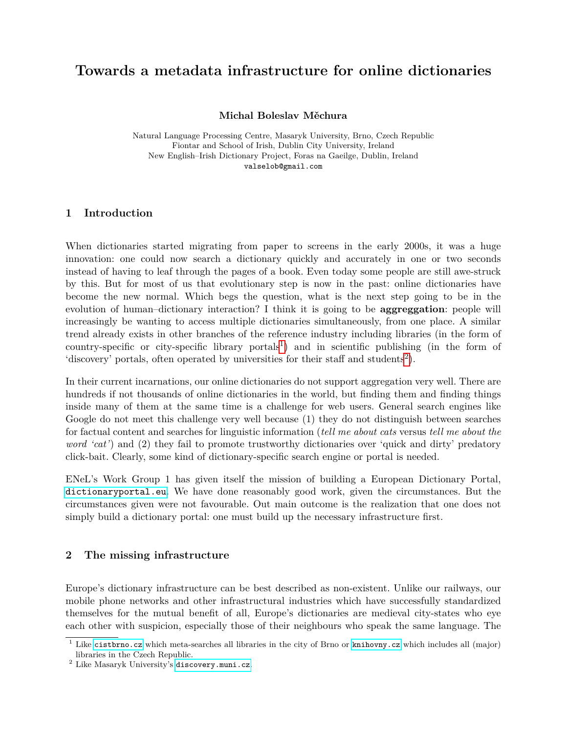# **Towards a metadata infrastructure for online dictionaries**

**Michal Boleslav Měchura**

Natural Language Processing Centre, Masaryk University, Brno, Czech Republic Fiontar and School of Irish, Dublin City University, Ireland New English–Irish Dictionary Project, Foras na Gaeilge, Dublin, Ireland valselob@gmail.com

# **1 Introduction**

When dictionaries started migrating from paper to screens in the early 2000s, it was a huge innovation: one could now search a dictionary quickly and accurately in one or two seconds instead of having to leaf through the pages of a book. Even today some people are still awe-struck by this. But for most of us that evolutionary step is now in the past: online dictionaries have become the new normal. Which begs the question, what is the next step going to be in the evolution of human–dictionary interaction? I think it is going to be **aggreggation**: people will increasingly be wanting to access multiple dictionaries simultaneously, from one place. A similar trend already exists in other branches of the reference industry including libraries (in the form of country-specific or city-specific library portals<sup>[1](#page-0-0)</sup>) and in scientific publishing (in the form of 'discovery' portals, often operated by universities for their staff and students<sup>[2](#page-0-1)</sup>).

In their current incarnations, our online dictionaries do not support aggregation very well. There are hundreds if not thousands of online dictionaries in the world, but finding them and finding things inside many of them at the same time is a challenge for web users. General search engines like Google do not meet this challenge very well because (1) they do not distinguish between searches for factual content and searches for linguistic information (*tell me about cats* versus *tell me about the word 'cat'*) and (2) they fail to promote trustworthy dictionaries over 'quick and dirty' predatory click-bait. Clearly, some kind of dictionary-specific search engine or portal is needed.

ENeL's Work Group 1 has given itself the mission of building a European Dictionary Portal, <dictionaryportal.eu>. We have done reasonably good work, given the circumstances. But the circumstances given were not favourable. Out main outcome is the realization that one does not simply build a dictionary portal: one must build up the necessary infrastructure first.

# **2 The missing infrastructure**

Europe's dictionary infrastructure can be best described as non-existent. Unlike our railways, our mobile phone networks and other infrastructural industries which have successfully standardized themselves for the mutual benefit of all, Europe's dictionaries are medieval city-states who eye each other with suspicion, especially those of their neighbours who speak the same language. The

<span id="page-0-0"></span><sup>&</sup>lt;sup>1</sup> Like <cistbrno.cz> which meta-searches all libraries in the city of Brno or <knihovny.cz> which includes all (major) libraries in the Czech Republic.

<span id="page-0-1"></span> $^2$  Like Masaryk University's <discovery.muni.cz>.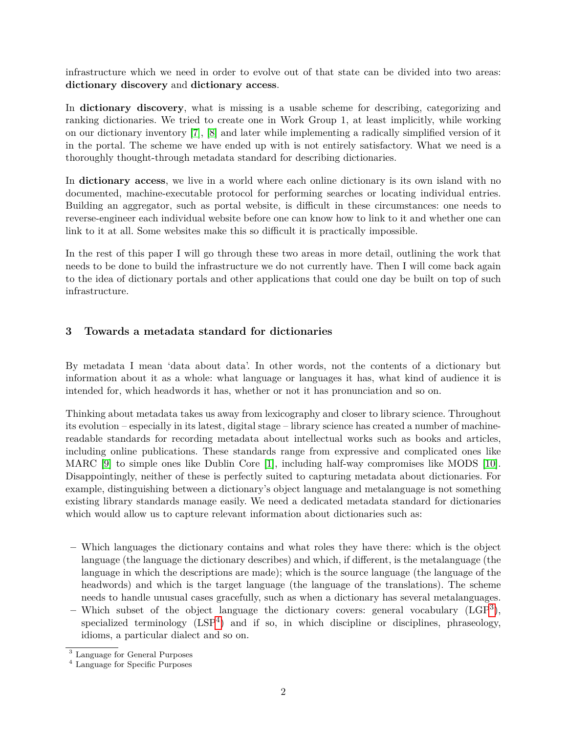infrastructure which we need in order to evolve out of that state can be divided into two areas: **dictionary discovery** and **dictionary access**.

In **dictionary discovery**, what is missing is a usable scheme for describing, categorizing and ranking dictionaries. We tried to create one in Work Group 1, at least implicitly, while working on our dictionary inventory [\[7\]](#page-4-0), [\[8\]](#page-4-1) and later while implementing a radically simplified version of it in the portal. The scheme we have ended up with is not entirely satisfactory. What we need is a thoroughly thought-through metadata standard for describing dictionaries.

In **dictionary access**, we live in a world where each online dictionary is its own island with no documented, machine-executable protocol for performing searches or locating individual entries. Building an aggregator, such as portal website, is difficult in these circumstances: one needs to reverse-engineer each individual website before one can know how to link to it and whether one can link to it at all. Some websites make this so difficult it is practically impossible.

In the rest of this paper I will go through these two areas in more detail, outlining the work that needs to be done to build the infrastructure we do not currently have. Then I will come back again to the idea of dictionary portals and other applications that could one day be built on top of such infrastructure.

# **3 Towards a metadata standard for dictionaries**

By metadata I mean 'data about data'. In other words, not the contents of a dictionary but information about it as a whole: what language or languages it has, what kind of audience it is intended for, which headwords it has, whether or not it has pronunciation and so on.

Thinking about metadata takes us away from lexicography and closer to library science. Throughout its evolution – especially in its latest, digital stage – library science has created a number of machinereadable standards for recording metadata about intellectual works such as books and articles, including online publications. These standards range from expressive and complicated ones like MARC [\[9\]](#page-4-2) to simple ones like Dublin Core [\[1\]](#page-4-3), including half-way compromises like MODS [\[10\]](#page-4-4). Disappointingly, neither of these is perfectly suited to capturing metadata about dictionaries. For example, distinguishing between a dictionary's object language and metalanguage is not something existing library standards manage easily. We need a dedicated metadata standard for dictionaries which would allow us to capture relevant information about dictionaries such as:

- **–** Which languages the dictionary contains and what roles they have there: which is the object language (the language the dictionary describes) and which, if different, is the metalanguage (the language in which the descriptions are made); which is the source language (the language of the headwords) and which is the target language (the language of the translations). The scheme needs to handle unusual cases gracefully, such as when a dictionary has several metalanguages.
- **–** Which subset of the object language the dictionary covers: general vocabulary (LGP[3](#page-1-0) ), specialized terminology  $(LSP<sup>4</sup>)$  $(LSP<sup>4</sup>)$  $(LSP<sup>4</sup>)$  and if so, in which discipline or disciplines, phraseology, idioms, a particular dialect and so on.

<span id="page-1-0"></span><sup>3</sup> Language for General Purposes

<span id="page-1-1"></span><sup>4</sup> Language for Specific Purposes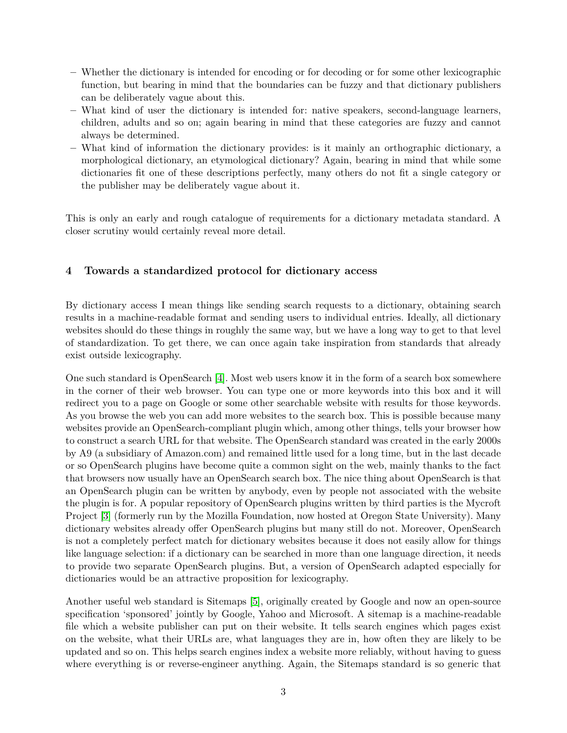- **–** Whether the dictionary is intended for encoding or for decoding or for some other lexicographic function, but bearing in mind that the boundaries can be fuzzy and that dictionary publishers can be deliberately vague about this.
- **–** What kind of user the dictionary is intended for: native speakers, second-language learners, children, adults and so on; again bearing in mind that these categories are fuzzy and cannot always be determined.
- **–** What kind of information the dictionary provides: is it mainly an orthographic dictionary, a morphological dictionary, an etymological dictionary? Again, bearing in mind that while some dictionaries fit one of these descriptions perfectly, many others do not fit a single category or the publisher may be deliberately vague about it.

This is only an early and rough catalogue of requirements for a dictionary metadata standard. A closer scrutiny would certainly reveal more detail.

### **4 Towards a standardized protocol for dictionary access**

By dictionary access I mean things like sending search requests to a dictionary, obtaining search results in a machine-readable format and sending users to individual entries. Ideally, all dictionary websites should do these things in roughly the same way, but we have a long way to get to that level of standardization. To get there, we can once again take inspiration from standards that already exist outside lexicography.

One such standard is OpenSearch [\[4\]](#page-4-5). Most web users know it in the form of a search box somewhere in the corner of their web browser. You can type one or more keywords into this box and it will redirect you to a page on Google or some other searchable website with results for those keywords. As you browse the web you can add more websites to the search box. This is possible because many websites provide an OpenSearch-compliant plugin which, among other things, tells your browser how to construct a search URL for that website. The OpenSearch standard was created in the early 2000s by A9 (a subsidiary of Amazon.com) and remained little used for a long time, but in the last decade or so OpenSearch plugins have become quite a common sight on the web, mainly thanks to the fact that browsers now usually have an OpenSearch search box. The nice thing about OpenSearch is that an OpenSearch plugin can be written by anybody, even by people not associated with the website the plugin is for. A popular repository of OpenSearch plugins written by third parties is the Mycroft Project [\[3\]](#page-4-6) (formerly run by the Mozilla Foundation, now hosted at Oregon State University). Many dictionary websites already offer OpenSearch plugins but many still do not. Moreover, OpenSearch is not a completely perfect match for dictionary websites because it does not easily allow for things like language selection: if a dictionary can be searched in more than one language direction, it needs to provide two separate OpenSearch plugins. But, a version of OpenSearch adapted especially for dictionaries would be an attractive proposition for lexicography.

Another useful web standard is Sitemaps [\[5\]](#page-4-7), originally created by Google and now an open-source specification 'sponsored' jointly by Google, Yahoo and Microsoft. A sitemap is a machine-readable file which a website publisher can put on their website. It tells search engines which pages exist on the website, what their URLs are, what languages they are in, how often they are likely to be updated and so on. This helps search engines index a website more reliably, without having to guess where everything is or reverse-engineer anything. Again, the Sitemaps standard is so generic that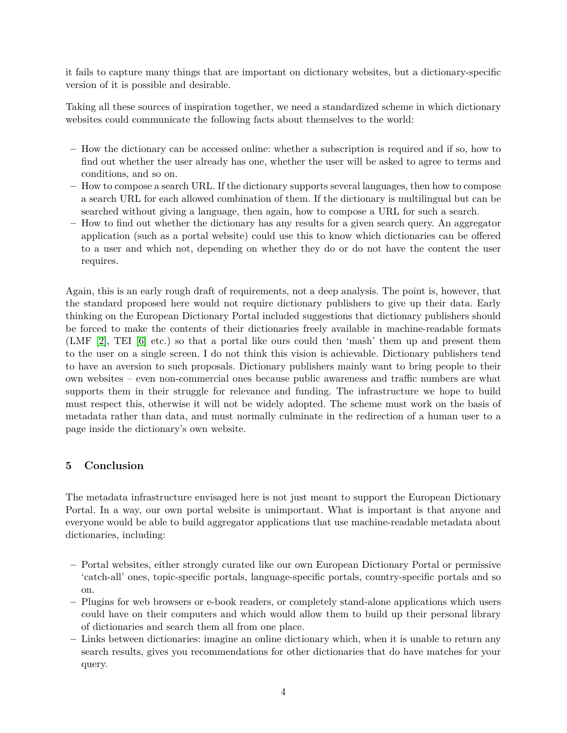it fails to capture many things that are important on dictionary websites, but a dictionary-specific version of it is possible and desirable.

Taking all these sources of inspiration together, we need a standardized scheme in which dictionary websites could communicate the following facts about themselves to the world:

- **–** How the dictionary can be accessed online: whether a subscription is required and if so, how to find out whether the user already has one, whether the user will be asked to agree to terms and conditions, and so on.
- **–** How to compose a search URL. If the dictionary supports several languages, then how to compose a search URL for each allowed combination of them. If the dictionary is multilingual but can be searched without giving a language, then again, how to compose a URL for such a search.
- **–** How to find out whether the dictionary has any results for a given search query. An aggregator application (such as a portal website) could use this to know which dictionaries can be offered to a user and which not, depending on whether they do or do not have the content the user requires.

Again, this is an early rough draft of requirements, not a deep analysis. The point is, however, that the standard proposed here would not require dictionary publishers to give up their data. Early thinking on the European Dictionary Portal included suggestions that dictionary publishers should be forced to make the contents of their dictionaries freely available in machine-readable formats (LMF [\[2\]](#page-4-8), TEI [\[6\]](#page-4-9) etc.) so that a portal like ours could then 'mash' them up and present them to the user on a single screen. I do not think this vision is achievable. Dictionary publishers tend to have an aversion to such proposals. Dictionary publishers mainly want to bring people to their own websites – even non-commercial ones because public awareness and traffic numbers are what supports them in their struggle for relevance and funding. The infrastructure we hope to build must respect this, otherwise it will not be widely adopted. The scheme must work on the basis of metadata rather than data, and must normally culminate in the redirection of a human user to a page inside the dictionary's own website.

# **5 Conclusion**

The metadata infrastructure envisaged here is not just meant to support the European Dictionary Portal. In a way, our own portal website is unimportant. What is important is that anyone and everyone would be able to build aggregator applications that use machine-readable metadata about dictionaries, including:

- **–** Portal websites, either strongly curated like our own European Dictionary Portal or permissive 'catch-all' ones, topic-specific portals, language-specific portals, country-specific portals and so on.
- **–** Plugins for web browsers or e-book readers, or completely stand-alone applications which users could have on their computers and which would allow them to build up their personal library of dictionaries and search them all from one place.
- **–** Links between dictionaries: imagine an online dictionary which, when it is unable to return any search results, gives you recommendations for other dictionaries that do have matches for your query.